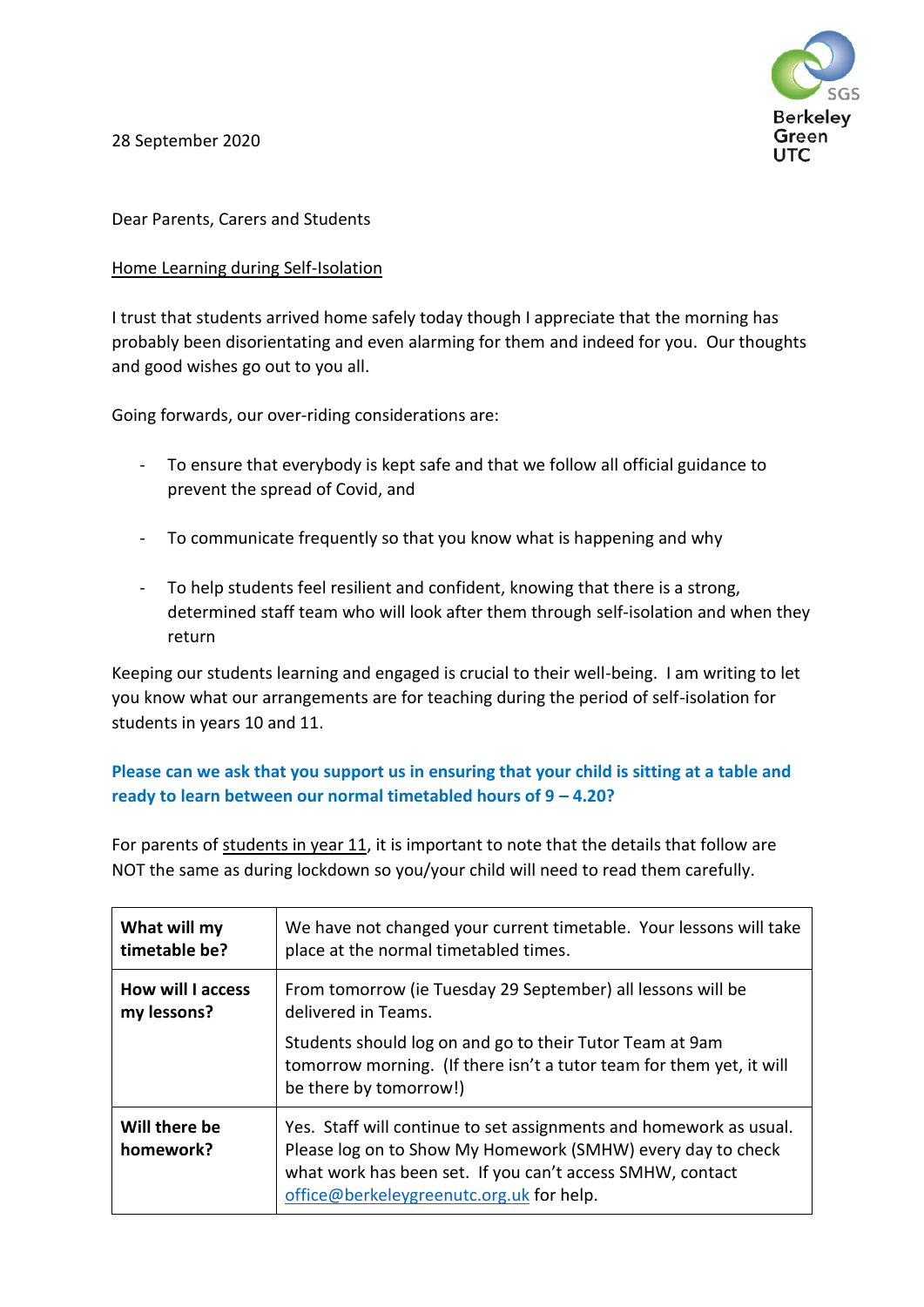**Berkeley** Green UTC.

28 September 2020

## Dear Parents, Carers and Students

## Home Learning during Self-Isolation

I trust that students arrived home safely today though I appreciate that the morning has probably been disorientating and even alarming for them and indeed for you. Our thoughts and good wishes go out to you all.

Going forwards, our over-riding considerations are:

- To ensure that everybody is kept safe and that we follow all official guidance to prevent the spread of Covid, and
- To communicate frequently so that you know what is happening and why
- To help students feel resilient and confident, knowing that there is a strong, determined staff team who will look after them through self-isolation and when they return

Keeping our students learning and engaged is crucial to their well-being. I am writing to let you know what our arrangements are for teaching during the period of self-isolation for students in years 10 and 11.

## **Please can we ask that you support us in ensuring that your child is sitting at a table and ready to learn between our normal timetabled hours of 9 – 4.20?**

For parents of students in year 11, it is important to note that the details that follow are NOT the same as during lockdown so you/your child will need to read them carefully.

| What will my               | We have not changed your current timetable. Your lessons will take                                                                                                                                                                         |
|----------------------------|--------------------------------------------------------------------------------------------------------------------------------------------------------------------------------------------------------------------------------------------|
| timetable be?              | place at the normal timetabled times.                                                                                                                                                                                                      |
| <b>How will I access</b>   | From tomorrow (ie Tuesday 29 September) all lessons will be                                                                                                                                                                                |
| my lessons?                | delivered in Teams.                                                                                                                                                                                                                        |
|                            | Students should log on and go to their Tutor Team at 9am<br>tomorrow morning. (If there isn't a tutor team for them yet, it will<br>be there by tomorrow!)                                                                                 |
| Will there be<br>homework? | Yes. Staff will continue to set assignments and homework as usual.<br>Please log on to Show My Homework (SMHW) every day to check<br>what work has been set. If you can't access SMHW, contact<br>office@berkeleygreenutc.org.uk for help. |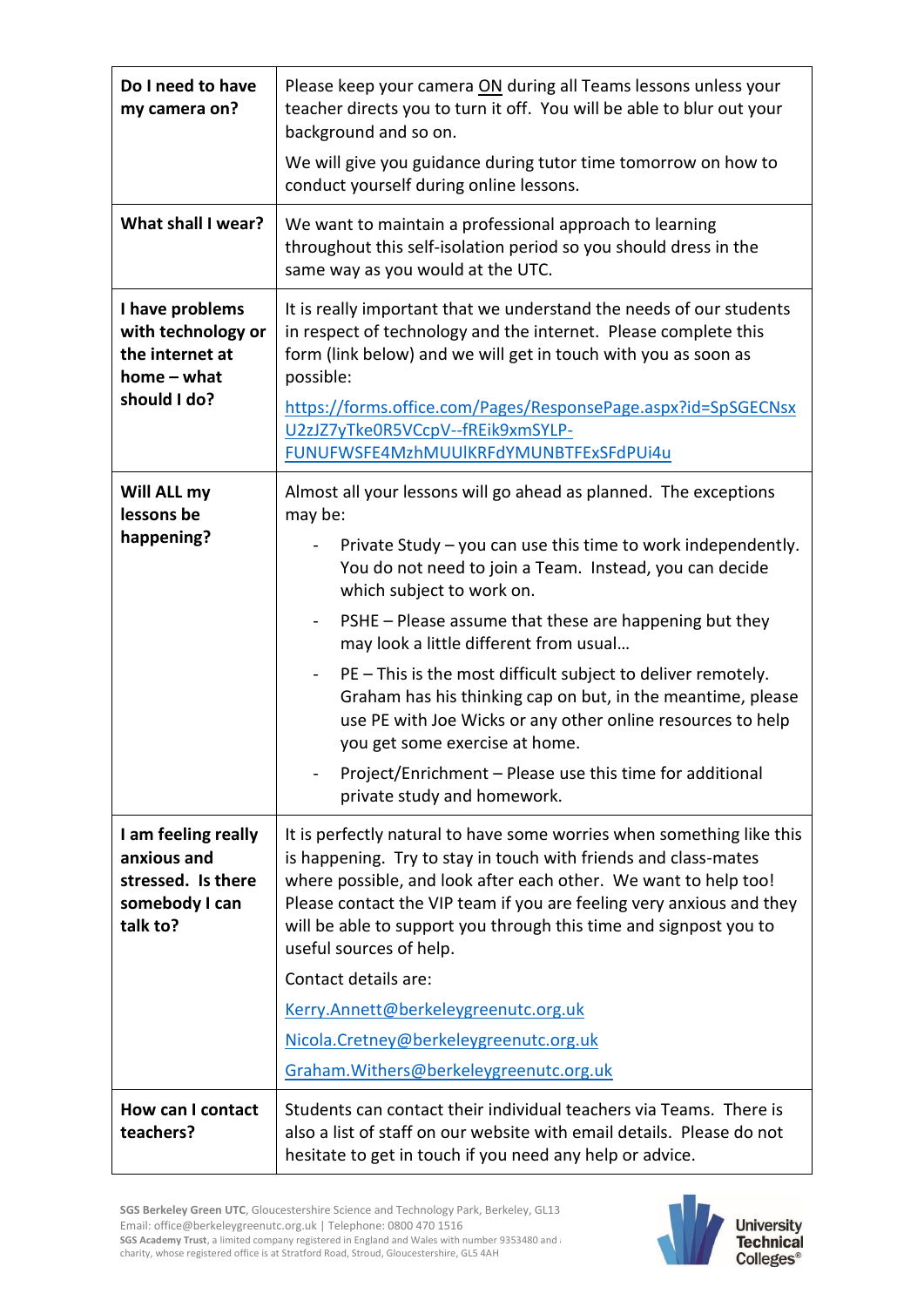| Do I need to have<br>my camera on?                                                        | Please keep your camera ON during all Teams lessons unless your<br>teacher directs you to turn it off. You will be able to blur out your<br>background and so on.<br>We will give you guidance during tutor time tomorrow on how to<br>conduct yourself during online lessons.                                                                                                                                                                                                                                                                                                                                                                                                                     |
|-------------------------------------------------------------------------------------------|----------------------------------------------------------------------------------------------------------------------------------------------------------------------------------------------------------------------------------------------------------------------------------------------------------------------------------------------------------------------------------------------------------------------------------------------------------------------------------------------------------------------------------------------------------------------------------------------------------------------------------------------------------------------------------------------------|
| What shall I wear?                                                                        | We want to maintain a professional approach to learning<br>throughout this self-isolation period so you should dress in the<br>same way as you would at the UTC.                                                                                                                                                                                                                                                                                                                                                                                                                                                                                                                                   |
| I have problems<br>with technology or<br>the internet at<br>$home - what$<br>should I do? | It is really important that we understand the needs of our students<br>in respect of technology and the internet. Please complete this<br>form (link below) and we will get in touch with you as soon as<br>possible:<br>https://forms.office.com/Pages/ResponsePage.aspx?id=SpSGECNsx<br>U2zJZ7yTke0R5VCcpV--fREik9xmSYLP-<br>FUNUFWSFE4MzhMUUlKRFdYMUNBTFExSFdPUi4u                                                                                                                                                                                                                                                                                                                              |
| Will ALL my<br>lessons be<br>happening?                                                   | Almost all your lessons will go ahead as planned. The exceptions<br>may be:<br>Private Study – you can use this time to work independently.<br>You do not need to join a Team. Instead, you can decide<br>which subject to work on.<br>PSHE - Please assume that these are happening but they<br>may look a little different from usual<br>PE - This is the most difficult subject to deliver remotely.<br>$\qquad \qquad \blacksquare$<br>Graham has his thinking cap on but, in the meantime, please<br>use PE with Joe Wicks or any other online resources to help<br>you get some exercise at home.<br>Project/Enrichment - Please use this time for additional<br>private study and homework. |
| I am feeling really<br>anxious and<br>stressed. Is there<br>somebody I can<br>talk to?    | It is perfectly natural to have some worries when something like this<br>is happening. Try to stay in touch with friends and class-mates<br>where possible, and look after each other. We want to help too!<br>Please contact the VIP team if you are feeling very anxious and they<br>will be able to support you through this time and signpost you to<br>useful sources of help.<br>Contact details are:<br>Kerry.Annett@berkeleygreenutc.org.uk<br>Nicola.Cretney@berkeleygreenutc.org.uk<br>Graham. Withers@berkeleygreenutc.org.uk                                                                                                                                                           |
| How can I contact<br>teachers?                                                            | Students can contact their individual teachers via Teams. There is<br>also a list of staff on our website with email details. Please do not<br>hesitate to get in touch if you need any help or advice.                                                                                                                                                                                                                                                                                                                                                                                                                                                                                            |